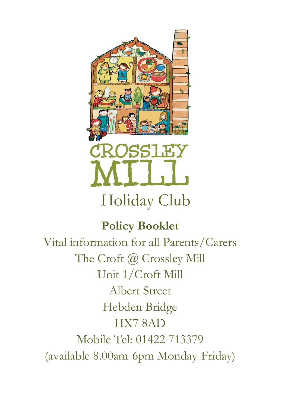

# **Policy Booklet**

Vital information for all Parents/Carers The Croft @ Crossley Mill Unit 1/Croft Mill Albert Street Hebden Bridge HX7 8AD Mobile Tel: 01422 713379 (available 8.00am-6pm Monday-Friday)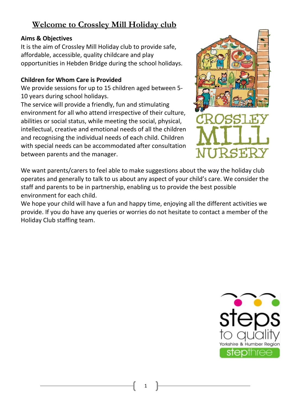## **Welcome to Crossley Mill Holiday club**

### **Aims & Objectives**

It is the aim of Crossley Mill Holiday club to provide safe, affordable, accessible, quality childcare and play opportunities in Hebden Bridge during the school holidays.

### **Children for Whom Care is Provided**

We provide sessions for up to 15 children aged between 5- 10 years during school holidays.

The service will provide a friendly, fun and stimulating environment for all who attend irrespective of their culture, abilities or social status, while meeting the social, physical, intellectual, creative and emotional needs of all the children and recognising the individual needs of each child. Children with special needs can be accommodated after consultation between parents and the manager.



We want parents/carers to feel able to make suggestions about the way the holiday club operates and generally to talk to us about any aspect of your child's care. We consider the staff and parents to be in partnership, enabling us to provide the best possible environment for each child.

We hope your child will have a fun and happy time, enjoying all the different activities we provide. If you do have any queries or worries do not hesitate to contact a member of the Holiday Club staffing team.

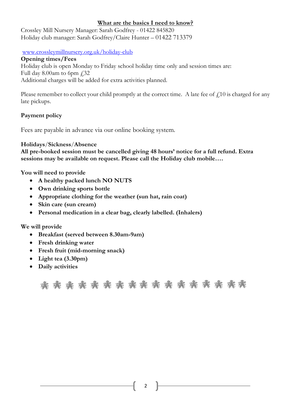#### **What are the basics I need to know?**

Crossley Mill Nursery Manager: Sarah Godfrey - 01422 845820 Holiday club manager: Sarah Godfrey/Claire Hunter – 01422 713379

#### [www.crossleymillnursery.org.uk/](http://www.crossleymillnursery.org.uk/)holiday-club

**Opening times/Fees**

Holiday club is open Monday to Friday school holiday time only and session times are: Full day 8.00am to 6pm  $\sqrt{32}$ Additional charges will be added for extra activities planned.

Please remember to collect your child promptly at the correct time. A late fee of  $f(10)$  is charged for any late pickups.

#### **Payment policy**

Fees are payable in advance via our online booking system.

#### **Holidays**/**Sickness**/**Absence**

**All pre-booked session must be cancelled giving 48 hours' notice for a full refund. Extra sessions may be available on request. Please call the Holiday club mobile….**

**You will need to provide**

- **A healthy packed lunch NO NUTS**
- **Own drinking sports bottle**
- **Appropriate clothing for the weather (sun hat, rain coat)**
- **Skin care (sun cream)**
- **Personal medication in a clear bag, clearly labelled. (Inhalers)**

**We will provide**

- **Breakfast (served between 8.30am-9am)**
- **Fresh drinking water**
- **Fresh fruit (mid-morning snack)**
- **Light tea (3.30pm)**
- **Daily activities**

\* \* \* \* \* \* \* \* \* \* \* \* \* \* \* \* \*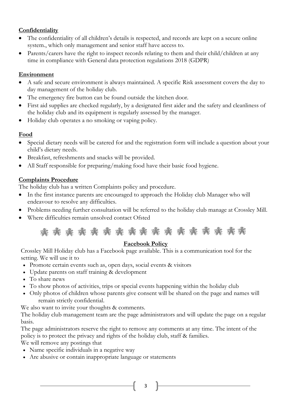#### **Confidentiality**

- The confidentiality of all children's details is respected, and records are kept on a secure online system., which only management and senior staff have access to.
- Parents/carers have the right to inspect records relating to them and their child/children at any time in compliance with General data protection regulations 2018 (GDPR)

#### **Environment**

- A safe and secure environment is always maintained. A specific Risk assessment covers the day to day management of the holiday club.
- The emergency fire button can be found outside the kitchen door.
- First aid supplies are checked regularly, by a designated first aider and the safety and cleanliness of the holiday club and its equipment is regularly assessed by the manager.
- Holiday club operates a no smoking or vaping policy.

#### **Food**

- Special dietary needs will be catered for and the registration form will include a question about your child's dietary needs.
- Breakfast, refreshments and snacks will be provided.
- All Staff responsible for preparing/making food have their basic food hygiene.

#### **Complaints Procedure**

The holiday club has a written Complaints policy and procedure.

- In the first instance parents are encouraged to approach the Holiday club Manager who will endeavour to resolve any difficulties.
- Problems needing further consultation will be referred to the holiday club manage at Crossley Mill.
- Where difficulties remain unsolved contact Ofsted



#### **Facebook Policy**

Crossley Mill Holiday club has a Facebook page available. This is a communication tool for the setting. We will use it to

- Promote certain events such as, open days, social events & visitors
- Update parents on staff training & development
- To share news
- To show photos of activities, trips or special events happening within the holiday club
- Only photos of children whose parents give consent will be shared on the page and names will remain strictly confidential.

We also want to invite your thoughts & comments.

The holiday club management team are the page administrators and will update the page on a regular basis.

The page administrators reserve the right to remove any comments at any time. The intent of the policy is to protect the privacy and rights of the holiday club, staff & families.

We will remove any postings that

- Name specific individuals in a negative way
- Are abusive or contain inappropriate language or statements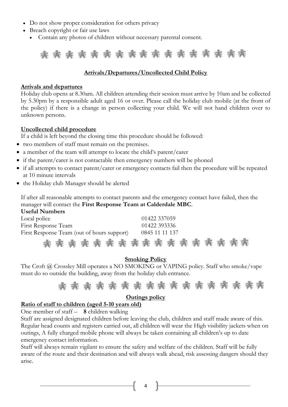- Do not show proper consideration for others privacy
- Breach copyright or fair use laws
	- Contain any photos of children without necessary parental consent.



#### **Arrivals/Departures/Uncollected Child Policy**

#### **Arrivals and departures**

Holiday club opens at 8.30am. All children attending their session must arrive by 10am and be collected by 5.30pm by a responsible adult aged 16 or over. Please call the holiday club mobile (at the front of the policy) if there is a change in person collecting your child. We will not hand children over to unknown persons.

#### **Uncollected child procedure**

If a child is left beyond the closing time this procedure should be followed:

- two members of staff must remain on the premises.
- a member of the team will attempt to locate the child's parent/carer
- if the parent/carer is not contactable then emergency numbers will be phoned
- if all attempts to contact parent/carer or emergency contacts fail then the procedure will be repeated at 10 minute intervals
- the Holiday club Manager should be alerted

If after all reasonable attempts to contact parents and the emergency contact have failed, then the manager will contact the **First Response Team at Calderdale MBC**.  $U_{\text{tot}}$  $\sim$   $\sim$   $\sim$ 

| USCIUI INUIIIDEIS                          |                                   |
|--------------------------------------------|-----------------------------------|
| Local police                               | 01422 337059                      |
| First Response Team                        | 01422 393336                      |
| First Response Team (out of hours support) | 0845 11 11 137                    |
|                                            | * * * * * * * * * * * * * * * * * |

#### **Smoking Policy**

The Croft @ Crossley Mill operates a NO SMOKING or VAPING policy. Staff who smoke/vape must do so outside the building, away from the holiday club entrance.



#### **Outings policy**

#### **Ratio of staff to children (aged 5-10 years old)**

One member of staff – **8** children walking

Staff are assigned designated children before leaving the club, children and staff made aware of this. Regular head counts and registers carried out, all children will wear the High visibility jackets when on outings, A fully charged mobile phone will always be taken containing all children's up to date emergency contact information.

Staff will always remain vigilant to ensure the safety and welfare of the children. Staff will be fully aware of the route and their destination and will always walk ahead, risk assessing dangers should they arise.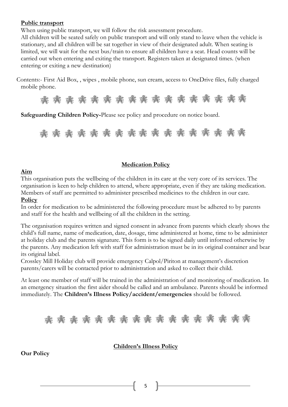#### **Public transport**

When using public transport, we will follow the risk assessment procedure.

All children will be seated safely on public transport and will only stand to leave when the vehicle is stationary, and all children will be sat together in view of their designated adult. When seating is limited, we will wait for the next bus/train to ensure all children have a seat. Head counts will be carried out when entering and exiting the transport. Registers taken at designated times. (when entering or exiting a new destination)

Contents:- First Aid Box, , wipes , mobile phone, sun cream, access to OneDrive files, fully charged mobile phone.

\* \* \* \* \* \* \* \* \* \* \* \* \* \* \* \*

**Safeguarding Children Policy-**Please see policy and procedure on notice board.

\* \* \* \* \* \* \* \* \* \* \* \* \* \* \*

#### **Medication Policy**

#### **Aim**

This organisation puts the wellbeing of the children in its care at the very core of its services. The organisation is keen to help children to attend, where appropriate, even if they are taking medication. Members of staff are permitted to administer prescribed medicines to the children in our care.

#### **Policy**

In order for medication to be administered the following procedure must be adhered to by parents and staff for the health and wellbeing of all the children in the setting.

The organisation requires written and signed consent in advance from parents which clearly shows the child's full name, name of medication, date, dosage, time administered at home, time to be administer at holiday club and the parents signature. This form is to be signed daily until informed otherwise by the parents. Any medication left with staff for administration must be in its original container and bear its original label.

Crossley Mill Holiday club will provide emergency Calpol/Piriton at management's discretion parents/carers will be contacted prior to administration and asked to collect their child.

At least one member of staff will be trained in the administration of and monitoring of medication. In an emergency situation the first aider should be called and an ambulance. Parents should be informed immediately. The **Children's Illness Policy/accident/emergencies** should be followed.

\* \* \* \* \* \* \* \* \* \* \* \* \* \* \* \*

#### **Children's Illness Policy**

#### **Our Policy**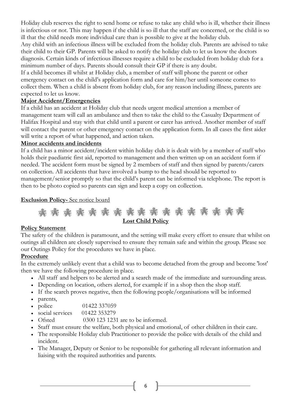Holiday club reserves the right to send home or refuse to take any child who is ill, whether their illness is infectious or not. This may happen if the child is so ill that the staff are concerned, or the child is so ill that the child needs more individual care than is possible to give at the holiday club.

Any child with an infectious illness will be excluded from the holiday club. Parents are advised to take their child to their GP. Parents will be asked to notify the holiday club to let us know the doctors diagnosis. Certain kinds of infectious illnesses require a child to be excluded from holiday club for a minimum number of days. Parents should consult their GP if there is any doubt.

If a child becomes ill whilst at Holiday club, a member of staff will phone the parent or other emergency contact on the child's application form and care for him/her until someone comes to collect them. When a child is absent from holiday club, for any reason including illness, parents are expected to let us know.

#### **Major Accident/Emergencies**

If a child has an accident at Holiday club that needs urgent medical attention a member of management team will call an ambulance and then to take the child to the Casualty Department of Halifax Hospital and stay with that child until a parent or carer has arrived. Another member of staff will contact the parent or other emergency contact on the application form. In all cases the first aider will write a report of what happened, and action taken.

#### **Minor accidents and incidents**

If a child has a minor accident/incident within holiday club it is dealt with by a member of staff who holds their paediatric first aid, reported to management and then written up on an accident form if needed. The accident form must be signed by 2 members of staff and then signed by parents/carers on collection. All accidents that have involved a bump to the head should be reported to management/senior promptly so that the child's parent can be informed via telephone. The report is then to be photo copied so parents can sign and keep a copy on collection.

#### **Exclusion Policy-** See notice board



#### **Policy Statement**

The safety of the children is paramount, and the setting will make every effort to ensure that whilst on outings all children are closely supervised to ensure they remain safe and within the group. Please see our Outings Policy for the procedures we have in place.

#### **Procedure**

In the extremely unlikely event that a child was to become detached from the group and become 'lost' then we have the following procedure in place.

- All staff and helpers to be alerted and a search made of the immediate and surrounding areas.
- Depending on location, others alerted, for example if in a shop then the shop staff.
- If the search proves negative, then the following people/organisations will be informed
- parents,
- police 01422 337059
- social services 01422 353279
- Ofsted 0300 123 1231 are to be informed.
- Staff must ensure the welfare, both physical and emotional, of other children in their care.
- The responsible Holiday club Practitioner to provide the police with details of the child and incident.
- The Manager, Deputy or Senior to be responsible for gathering all relevant information and liaising with the required authorities and parents.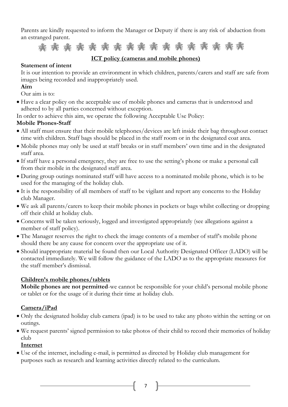Parents are kindly requested to inform the Manager or Deputy if there is any risk of abduction from an estranged parent.

永永永永永永永永永永永永  $8.6$  \$1.6  $5.6$  \$ 26

#### **ICT policy (cameras and mobile phones)**

#### **Statement of intent**

It is our intention to provide an environment in which children, parents/carers and staff are safe from images being recorded and inappropriately used.

#### **Aim**

Our aim is to:

• Have a clear policy on the acceptable use of mobile phones and cameras that is understood and adhered to by all parties concerned without exception.

In order to achieve this aim, we operate the following Acceptable Use Policy:

#### **Mobile Phones-Staff**

- All staff must ensure that their mobile telephones/devices are left inside their bag throughout contact time with children. Staff bags should be placed in the staff room or in the designated coat area.
- Mobile phones may only be used at staff breaks or in staff members' own time and in the designated staff area.
- If staff have a personal emergency, they are free to use the setting's phone or make a personal call from their mobile in the designated staff area.
- During group outings nominated staff will have access to a nominated mobile phone, which is to be used for the managing of the holiday club.
- It is the responsibility of all members of staff to be vigilant and report any concerns to the Holiday club Manager.
- We ask all parents/carers to keep their mobile phones in pockets or bags whilst collecting or dropping off their child at holiday club.
- Concerns will be taken seriously, logged and investigated appropriately (see allegations against a member of staff policy).
- The Manager reserves the right to check the image contents of a member of staff's mobile phone should there be any cause for concern over the appropriate use of it.
- Should inappropriate material be found then our Local Authority Designated Officer (LADO) will be contacted immediately. We will follow the guidance of the LADO as to the appropriate measures for the staff member's dismissal.

#### **Children's mobile phones/tablets**

**Mobile phones are not permitted**-we cannot be responsible for your child's personal mobile phone or tablet or for the usage of it during their time at holiday club.

#### **Camera/iPad**

- Only the designated holiday club camera (ipad) is to be used to take any photo within the setting or on outings.
- We request parents' signed permission to take photos of their child to record their memories of holiday club

#### **Internet**

• Use of the internet, including e-mail, is permitted as directed by Holiday club management for purposes such as research and learning activities directly related to the curriculum.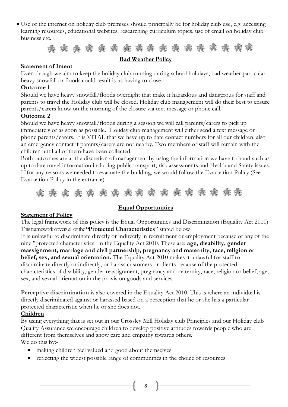• Use of the internet on holiday club premises should principally be for holiday club use, e.g. accessing learning resources, educational websites, researching curriculum topics, use of email on holiday club business etc.



#### **Bad Weather Policy**

#### **Statement of Intent**

Even though we aim to keep the holiday club running during school holidays, bad weather particular heavy snowfall or floods could result is us having to close.

#### **Outcome 1**

Should we have heavy snowfall/floods overnight that make it hazardous and dangerous for staff and parents to travel the Holiday club will be closed. Holiday club management will do their best to ensure parents/carers know on the morning of the closure via text message or phone call.

#### **Outcome 2**

Should we have heavy snowfall/floods during a session we will call parents/carers to pick up immediately or as soon as possible. Holiday club management will either send a text message or phone parents/carers. It is VITAL that we have up to date contact numbers for all our children, also an emergency contact if parents/carers are not nearby. Two members of staff will remain with the children until all of them have been collected.

Both outcomes are at the discretion of management by using the information we have to hand such as up to date travel information including public transport, risk assessments and Health and Safety issues. If for any reasons we needed to evacuate the building, we would follow the Evacuation Policy (See Evacuation Policy in the entrance)



#### **Equal Opportunities**

#### **Statement of Policy**

The legal framework of this policy is the Equal Opportunities and Discrimination (Equality Act 2010) This framework covers all of the **"Protected Characteristics**" stated below

It is unlawful to discriminate directly or indirectly in recruitment or employment because of any of the nine "protected characteristics" in the Equality Act 2010. These are: **age, disability, gender reassignment, marriage and civil partnership, pregnancy and maternity, race, religion or belief, sex, and sexual orientation.** The Equality Act 2010 makes it unlawful for staff to discriminate directly or indirectly, or harass customers or clients because of the protected characteristics of disability, gender reassignment, pregnancy and maternity, race, religion or belief, age, sex, and sexual orientation in the provision goods and services.

**Perceptive discrimination** is also covered in the Equality Act 2010. This is where an individual is directly discriminated against or harassed based on a perception that he or she has a particular protected characteristic when he or she does not.

#### **Children**

By using everything that is set out in our Crossley Mill Holiday club Principles and our Holiday club Quality Assurance we encourage children to develop positive attitudes towards people who are different from themselves and show care and empathy towards others. We do this by:-

- making children feel valued and good about themselves
- reflecting the widest possible range of communities in the choice of resources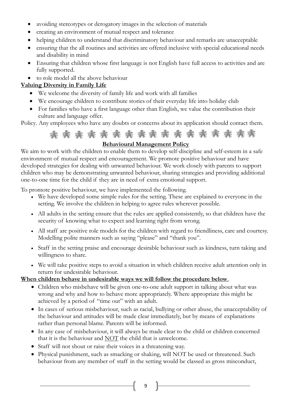- avoiding stereotypes or derogatory images in the selection of materials
- creating an environment of mutual respect and tolerance
- helping children to understand that discriminatory behaviour and remarks are unacceptable
- ensuring that the all routines and activities are offered inclusive with special educational needs and disability in mind
- Ensuring that children whose first language is not English have full access to activities and are fully supported.
- to role model all the above behaviour

#### **Valuing Diversity in Family Life**

- We welcome the diversity of family life and work with all families
- We encourage children to contribute stories of their everyday life into holiday club
- For families who have a first language other than English, we value the contribution their culture and language offer.

Policy. Any employees who have any doubts or concerns about its application should contact them.

#### \* \* \* \* \* 26 26 26  $\sqrt{2}$  $9.6$  $7.6$  7.8  $\sqrt{2}$  $9.6$

#### **Behavioural Management Policy**

We aim to work with the children to enable them to develop self-discipline and self-esteem in a safe environment of mutual respect and encouragement. We promote positive behaviour and have developed strategies for dealing with unwanted behaviour. We work closely with parents to support children who may be demonstrating unwanted behaviour, sharing strategies and providing additional one-to-one time for the child if they are in need of extra emotional support.

To promote positive behaviour, we have implemented the following.

- We have developed some simple rules for the setting. These are explained to everyone in the setting. We involve the children in helping to agree rules wherever possible.
- All adults in the setting ensure that the rules are applied consistently, so that children have the security of knowing what to expect and learning right from wrong.
- All staff are positive role models for the children with regard to friendliness, care and courtesy. Modelling polite manners such as saying "please" and "thank you".
- Staff in the setting praise and encourage desirable behaviour such as kindness, turn taking and willingness to share.
- We will take positive steps to avoid a situation in which children receive adult attention only in return for undesirable behaviour.

#### **When children behave in undesirable ways we will follow the procedure below**.

- Children who misbehave will be given one-to-one adult support in talking about what was wrong and why and how to behave more appropriately. Where appropriate this might be achieved by a period of "time out" with an adult.
- In cases of serious misbehaviour, such as racial, bullying or other abuse, the unacceptability of the behaviour and attitudes will be made clear immediately, but by means of explanations rather than personal blame. Parents will be informed.
- In any case of misbehaviour, it will always be made clear to the child or children concerned that it is the behaviour and NOT the child that is unwelcome.
- Staff will not shout or raise their voices in a threatening way.
- Physical punishment, such as smacking or shaking, will NOT be used or threatened. Such behaviour from any member of staff in the setting would be classed as gross misconduct,